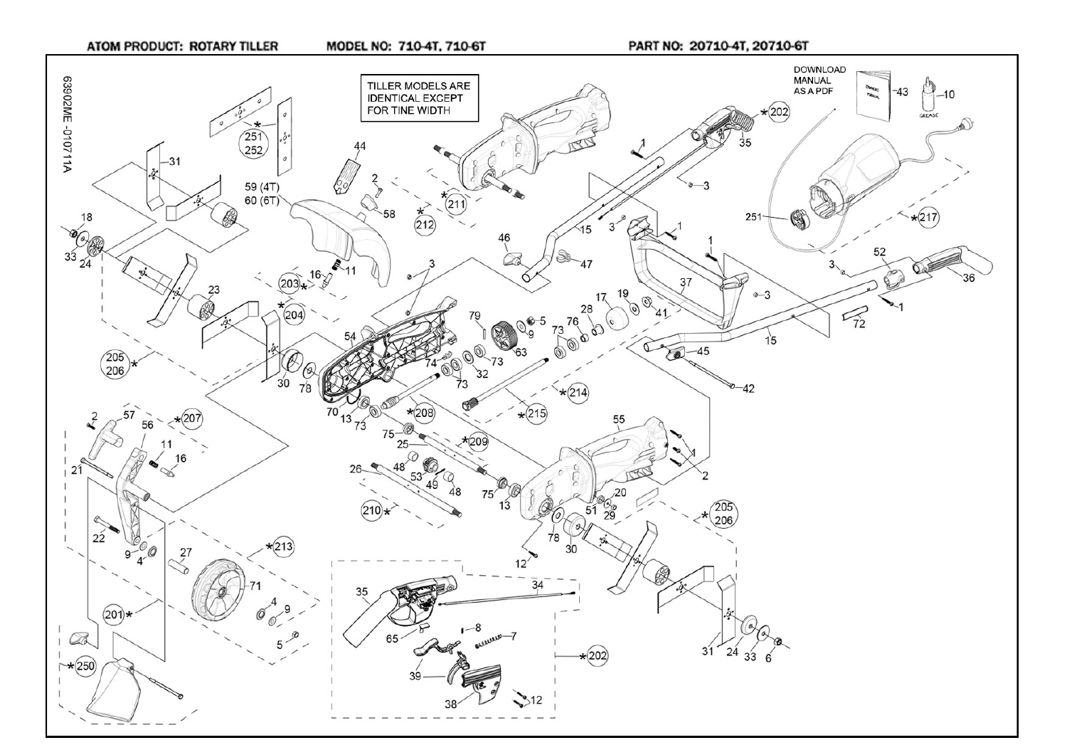